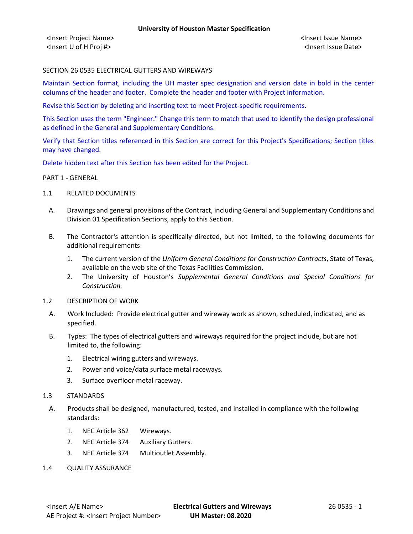<Insert Project Name> <Insert Issue Name> <Insert U of H Proj #> <Insert Issue Date>

# SECTION 26 0535 ELECTRICAL GUTTERS AND WIREWAYS

Maintain Section format, including the UH master spec designation and version date in bold in the center columns of the header and footer. Complete the header and footer with Project information.

Revise this Section by deleting and inserting text to meet Project-specific requirements.

This Section uses the term "Engineer." Change this term to match that used to identify the design professional as defined in the General and Supplementary Conditions.

Verify that Section titles referenced in this Section are correct for this Project's Specifications; Section titles may have changed.

Delete hidden text after this Section has been edited for the Project.

#### PART 1 - GENERAL

- 1.1 RELATED DOCUMENTS
	- A. Drawings and general provisions of the Contract, including General and Supplementary Conditions and Division 01 Specification Sections, apply to this Section.
	- B. The Contractor's attention is specifically directed, but not limited, to the following documents for additional requirements:
		- 1. The current version of the *Uniform General Conditions for Construction Contracts*, State of Texas, available on the web site of the Texas Facilities Commission.
		- 2. The University of Houston's *Supplemental General Conditions and Special Conditions for Construction.*
- 1.2 DESCRIPTION OF WORK
	- A. Work Included: Provide electrical gutter and wireway work as shown, scheduled, indicated, and as specified.
	- B. Types: The types of electrical gutters and wireways required for the project include, but are not limited to, the following:
		- 1. Electrical wiring gutters and wireways.
		- 2. Power and voice/data surface metal raceways.
		- 3. Surface overfloor metal raceway.
- 1.3 STANDARDS
	- A. Products shall be designed, manufactured, tested, and installed in compliance with the following standards:
		- 1. NEC Article 362 Wireways.
		- 2. NEC Article 374 Auxiliary Gutters.
		- 3. NEC Article 374 Multioutlet Assembly.
- 1.4 QUALITY ASSURANCE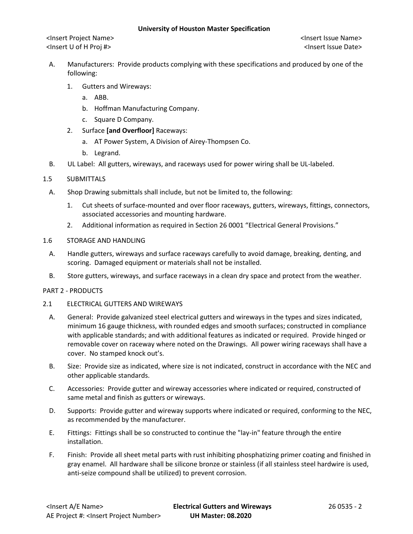<Insert Project Name> <Insert Issue Name> <Insert U of H Proj #> <Insert Issue Date>

- A. Manufacturers: Provide products complying with these specifications and produced by one of the following:
	- 1. Gutters and Wireways:
		- a. ABB.
		- b. Hoffman Manufacturing Company.
		- c. Square D Company.
	- 2. Surface **[and Overfloor]** Raceways:
		- a. AT Power System, A Division of Airey-Thompsen Co.
		- b. Legrand.
- B. UL Label: All gutters, wireways, and raceways used for power wiring shall be UL-labeled.

#### 1.5 SUBMITTALS

- A. Shop Drawing submittals shall include, but not be limited to, the following:
	- 1. Cut sheets of surface-mounted and over floor raceways, gutters, wireways, fittings, connectors, associated accessories and mounting hardware.
	- 2. Additional information as required in Section 26 0001 "Electrical General Provisions."
- 1.6 STORAGE AND HANDLING
	- A. Handle gutters, wireways and surface raceways carefully to avoid damage, breaking, denting, and scoring. Damaged equipment or materials shall not be installed.
	- B. Store gutters, wireways, and surface raceways in a clean dry space and protect from the weather.

### PART 2 - PRODUCTS

# 2.1 ELECTRICAL GUTTERS AND WIREWAYS

- A. General: Provide galvanized steel electrical gutters and wireways in the types and sizes indicated, minimum 16 gauge thickness, with rounded edges and smooth surfaces; constructed in compliance with applicable standards; and with additional features as indicated or required. Provide hinged or removable cover on raceway where noted on the Drawings. All power wiring raceways shall have a cover. No stamped knock out's.
- B. Size: Provide size as indicated, where size is not indicated, construct in accordance with the NEC and other applicable standards.
- C. Accessories: Provide gutter and wireway accessories where indicated or required, constructed of same metal and finish as gutters or wireways.
- D. Supports: Provide gutter and wireway supports where indicated or required, conforming to the NEC, as recommended by the manufacturer.
- E. Fittings: Fittings shall be so constructed to continue the "lay-in" feature through the entire installation.
- F. Finish: Provide all sheet metal parts with rust inhibiting phosphatizing primer coating and finished in gray enamel. All hardware shall be silicone bronze or stainless (if all stainless steel hardwire is used, anti-seize compound shall be utilized) to prevent corrosion.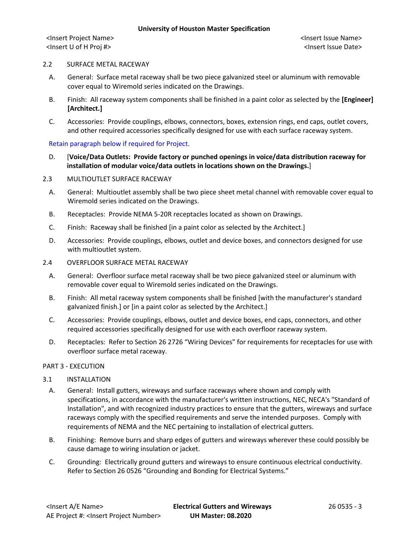<Insert Project Name> <Insert Issue Name> <Insert U of H Proj #> <Insert Issue Date>

### 2.2 SURFACE METAL RACEWAY

- A. General: Surface metal raceway shall be two piece galvanized steel or aluminum with removable cover equal to Wiremold series indicated on the Drawings.
- B. Finish: All raceway system components shall be finished in a paint color as selected by the **[Engineer] [Architect.]**
- C. Accessories: Provide couplings, elbows, connectors, boxes, extension rings, end caps, outlet covers, and other required accessories specifically designed for use with each surface raceway system.

# Retain paragraph below if required for Project.

D. [**Voice/Data Outlets: Provide factory or punched openings in voice/data distribution raceway for installation of modular voice/data outlets in locations shown on the Drawings.**]

# 2.3 MULTIOUTLET SURFACE RACEWAY

- A. General: Multioutlet assembly shall be two piece sheet metal channel with removable cover equal to Wiremold series indicated on the Drawings.
- B. Receptacles: Provide NEMA 5-20R receptacles located as shown on Drawings.
- C. Finish: Raceway shall be finished [in a paint color as selected by the Architect.]
- D. Accessories: Provide couplings, elbows, outlet and device boxes, and connectors designed for use with multioutlet system.
- 2.4 OVERFLOOR SURFACE METAL RACEWAY
	- A. General: Overfloor surface metal raceway shall be two piece galvanized steel or aluminum with removable cover equal to Wiremold series indicated on the Drawings.
	- B. Finish: All metal raceway system components shall be finished [with the manufacturer's standard galvanized finish.] or [in a paint color as selected by the Architect.]
	- C. Accessories: Provide couplings, elbows, outlet and device boxes, end caps, connectors, and other required accessories specifically designed for use with each overfloor raceway system.
	- D. Receptacles: Refer to Section 26 2726 "Wiring Devices" for requirements for receptacles for use with overfloor surface metal raceway.

#### PART 3 - EXECUTION

# 3.1 INSTALLATION

- A. General: Install gutters, wireways and surface raceways where shown and comply with specifications, in accordance with the manufacturer's written instructions, NEC, NECA's "Standard of Installation", and with recognized industry practices to ensure that the gutters, wireways and surface raceways comply with the specified requirements and serve the intended purposes. Comply with requirements of NEMA and the NEC pertaining to installation of electrical gutters.
- B. Finishing: Remove burrs and sharp edges of gutters and wireways wherever these could possibly be cause damage to wiring insulation or jacket.
- C. Grounding: Electrically ground gutters and wireways to ensure continuous electrical conductivity. Refer to Section 26 0526 "Grounding and Bonding for Electrical Systems."